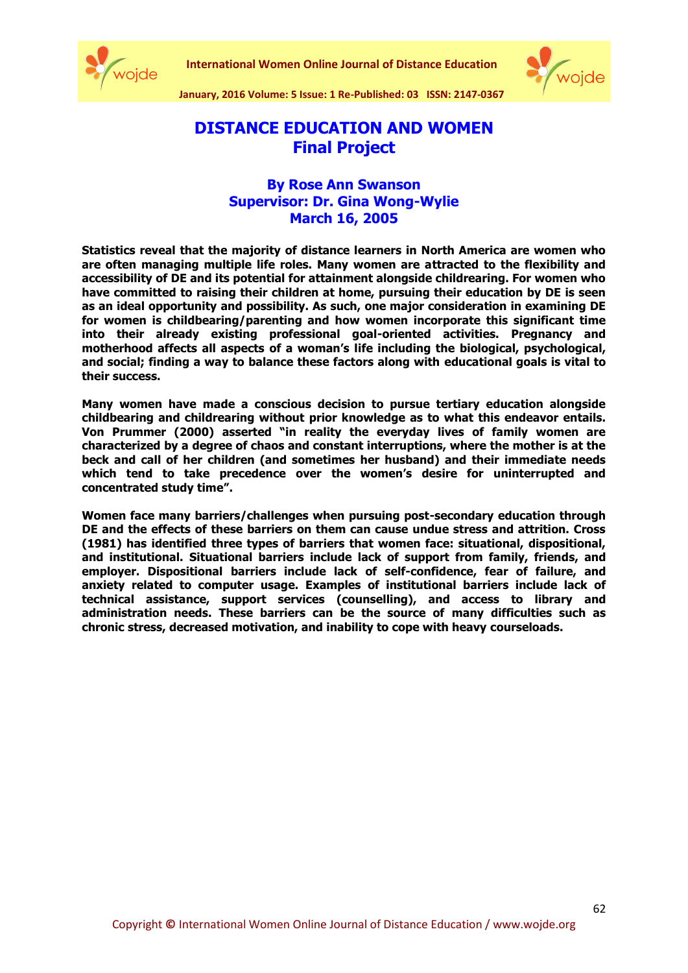

**International Women Online Journal of Distance Education**



**January, 2016 Volume: 5 Issue: 1 Re-Published: 03 ISSN: 2147-0367**

# **DISTANCE EDUCATION AND WOMEN Final Project**

## **By Rose Ann Swanson Supervisor: Dr. Gina Wong-Wylie March 16, 2005**

**Statistics reveal that the majority of distance learners in North America are women who are often managing multiple life roles. Many women are attracted to the flexibility and accessibility of DE and its potential for attainment alongside childrearing. For women who have committed to raising their children at home, pursuing their education by DE is seen as an ideal opportunity and possibility. As such, one major consideration in examining DE for women is childbearing/parenting and how women incorporate this significant time into their already existing professional goal-oriented activities. Pregnancy and motherhood affects all aspects of a woman's life including the biological, psychological, and social; finding a way to balance these factors along with educational goals is vital to their success.**

**Many women have made a conscious decision to pursue tertiary education alongside childbearing and childrearing without prior knowledge as to what this endeavor entails. Von Prummer (2000) asserted "in reality the everyday lives of family women are characterized by a degree of chaos and constant interruptions, where the mother is at the beck and call of her children (and sometimes her husband) and their immediate needs which tend to take precedence over the women's desire for uninterrupted and concentrated study time".**

**Women face many barriers/challenges when pursuing post-secondary education through DE and the effects of these barriers on them can cause undue stress and attrition. Cross (1981) has identified three types of barriers that women face: situational, dispositional, and institutional. Situational barriers include lack of support from family, friends, and employer. Dispositional barriers include lack of self-confidence, fear of failure, and anxiety related to computer usage. Examples of institutional barriers include lack of technical assistance, support services (counselling), and access to library and administration needs. These barriers can be the source of many difficulties such as chronic stress, decreased motivation, and inability to cope with heavy courseloads.**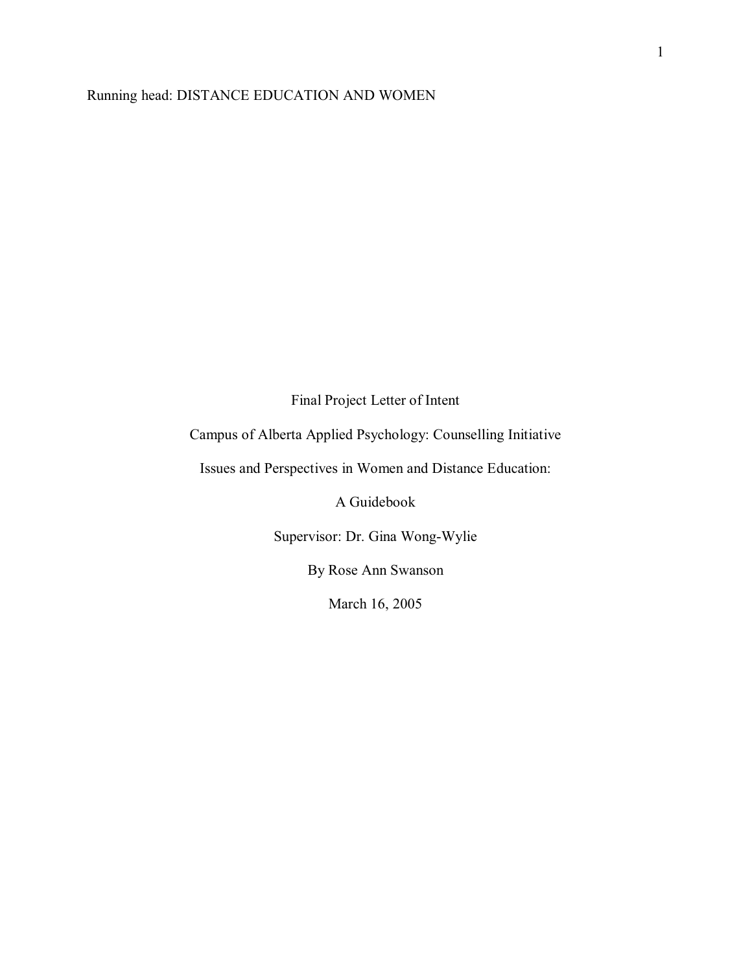### Running head: DISTANCE EDUCATION AND WOMEN

Final Project Letter of Intent

Campus of Alberta Applied Psychology: Counselling Initiative

Issues and Perspectives in Women and Distance Education:

A Guidebook

Supervisor: Dr. Gina Wong-Wylie

By Rose Ann Swanson

March 16, 2005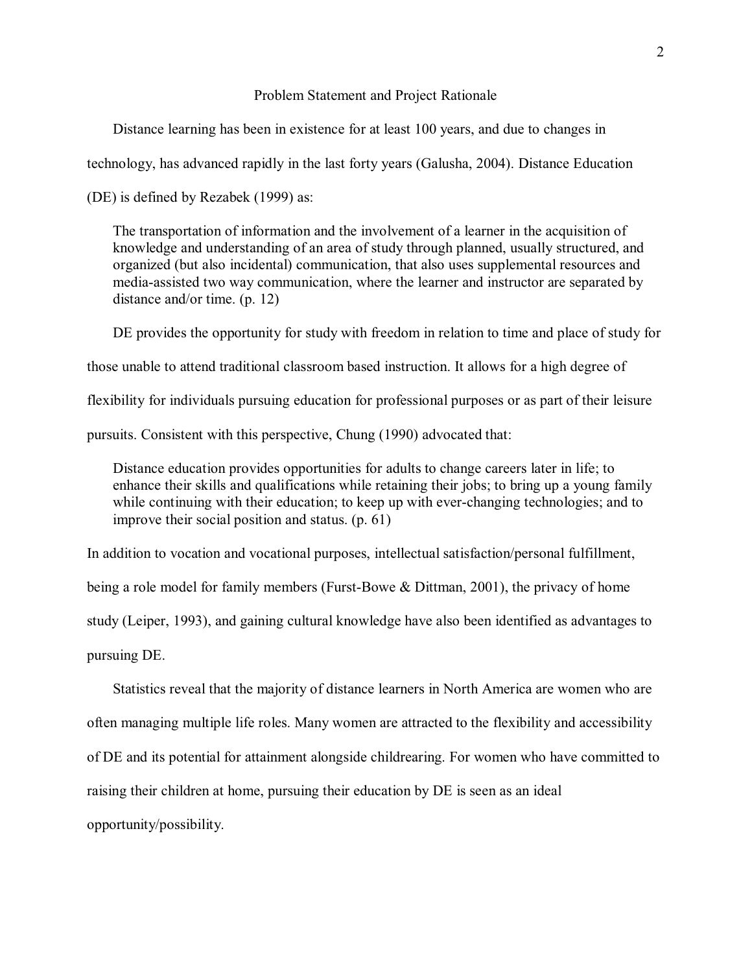#### Problem Statement and Project Rationale

Distance learning has been in existence for at least 100 years, and due to changes in

technology, has advanced rapidly in the last forty years (Galusha, 2004). Distance Education

(DE) is defined by Rezabek (1999) as:

The transportation of information and the involvement of a learner in the acquisition of knowledge and understanding of an area of study through planned, usually structured, and organized (but also incidental) communication, that also uses supplemental resources and media-assisted two way communication, where the learner and instructor are separated by distance and/or time. (p. 12)

 DE provides the opportunity for study with freedom in relation to time and place of study for those unable to attend traditional classroom based instruction. It allows for a high degree of flexibility for individuals pursuing education for professional purposes or as part of their leisure pursuits. Consistent with this perspective, Chung (1990) advocated that:

Distance education provides opportunities for adults to change careers later in life; to enhance their skills and qualifications while retaining their jobs; to bring up a young family while continuing with their education; to keep up with ever-changing technologies; and to improve their social position and status. (p. 61)

In addition to vocation and vocational purposes, intellectual satisfaction/personal fulfillment, being a role model for family members (Furst-Bowe & Dittman, 2001), the privacy of home study (Leiper, 1993), and gaining cultural knowledge have also been identified as advantages to pursuing DE.

 Statistics reveal that the majority of distance learners in North America are women who are often managing multiple life roles. Many women are attracted to the flexibility and accessibility of DE and its potential for attainment alongside childrearing. For women who have committed to raising their children at home, pursuing their education by DE is seen as an ideal opportunity/possibility.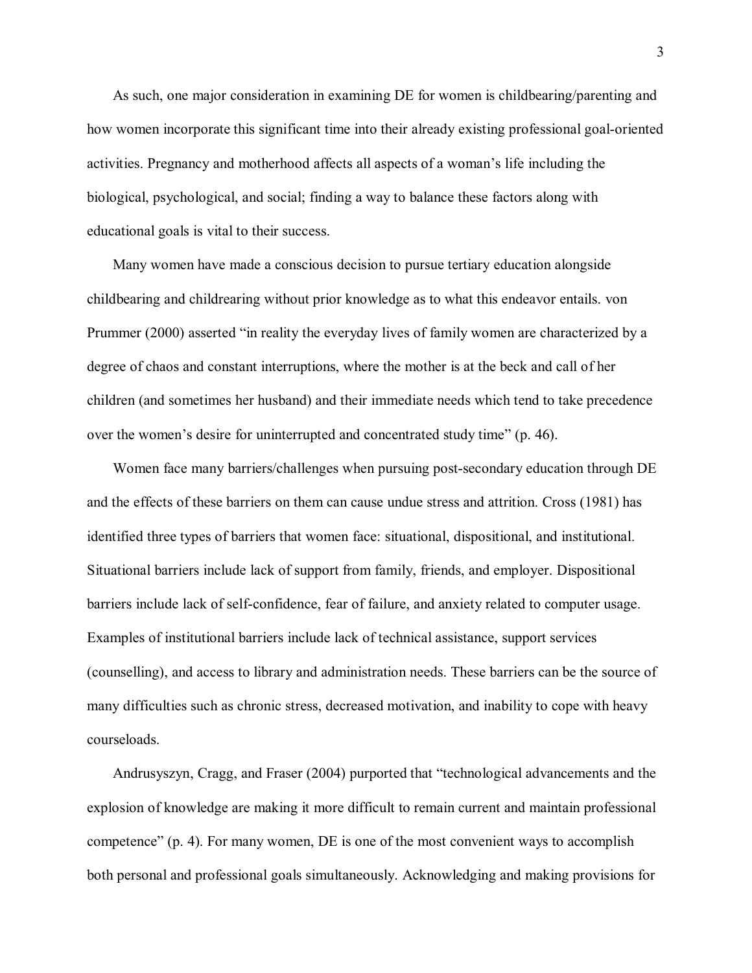As such, one major consideration in examining DE for women is childbearing/parenting and how women incorporate this significant time into their already existing professional goal-oriented activities. Pregnancy and motherhood affects all aspects of a woman's life including the biological, psychological, and social; finding a way to balance these factors along with educational goals is vital to their success.

 Many women have made a conscious decision to pursue tertiary education alongside childbearing and childrearing without prior knowledge as to what this endeavor entails. von Prummer (2000) asserted "in reality the everyday lives of family women are characterized by a degree of chaos and constant interruptions, where the mother is at the beck and call of her children (and sometimes her husband) and their immediate needs which tend to take precedence over the women's desire for uninterrupted and concentrated study time" (p. 46).

 Women face many barriers/challenges when pursuing post-secondary education through DE and the effects of these barriers on them can cause undue stress and attrition. Cross (1981) has identified three types of barriers that women face: situational, dispositional, and institutional. Situational barriers include lack of support from family, friends, and employer. Dispositional barriers include lack of self-confidence, fear of failure, and anxiety related to computer usage. Examples of institutional barriers include lack of technical assistance, support services (counselling), and access to library and administration needs. These barriers can be the source of many difficulties such as chronic stress, decreased motivation, and inability to cope with heavy courseloads.

 Andrusyszyn, Cragg, and Fraser (2004) purported that "technological advancements and the explosion of knowledge are making it more difficult to remain current and maintain professional competence" (p. 4). For many women, DE is one of the most convenient ways to accomplish both personal and professional goals simultaneously. Acknowledging and making provisions for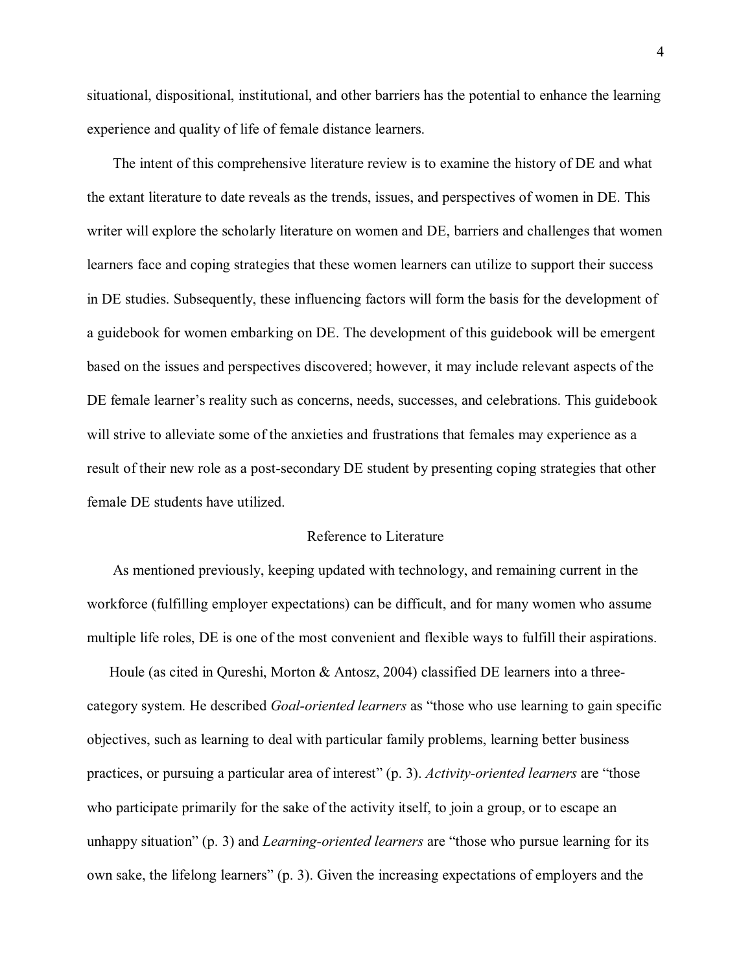situational, dispositional, institutional, and other barriers has the potential to enhance the learning experience and quality of life of female distance learners.

 The intent of this comprehensive literature review is to examine the history of DE and what the extant literature to date reveals as the trends, issues, and perspectives of women in DE. This writer will explore the scholarly literature on women and DE, barriers and challenges that women learners face and coping strategies that these women learners can utilize to support their success in DE studies. Subsequently, these influencing factors will form the basis for the development of a guidebook for women embarking on DE. The development of this guidebook will be emergent based on the issues and perspectives discovered; however, it may include relevant aspects of the DE female learner's reality such as concerns, needs, successes, and celebrations. This guidebook will strive to alleviate some of the anxieties and frustrations that females may experience as a result of their new role as a post-secondary DE student by presenting coping strategies that other female DE students have utilized.

#### Reference to Literature

 As mentioned previously, keeping updated with technology, and remaining current in the workforce (fulfilling employer expectations) can be difficult, and for many women who assume multiple life roles, DE is one of the most convenient and flexible ways to fulfill their aspirations.

 Houle (as cited in Qureshi, Morton & Antosz, 2004) classified DE learners into a threecategory system. He described *Goal-oriented learners* as "those who use learning to gain specific objectives, such as learning to deal with particular family problems, learning better business practices, or pursuing a particular area of interest" (p. 3). *Activity-oriented learners* are "those who participate primarily for the sake of the activity itself, to join a group, or to escape an unhappy situation" (p. 3) and *Learning-oriented learners* are "those who pursue learning for its own sake, the lifelong learners" (p. 3). Given the increasing expectations of employers and the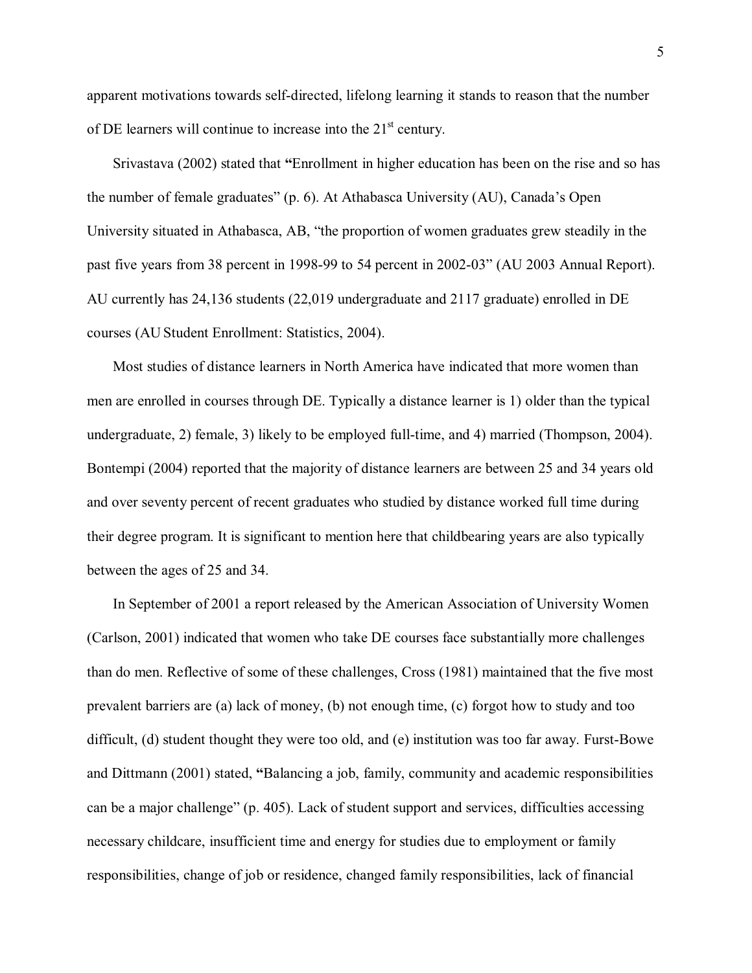apparent motivations towards self-directed, lifelong learning it stands to reason that the number of DE learners will continue to increase into the  $21<sup>st</sup>$  century.

 Srivastava (2002) stated that **"**Enrollment in higher education has been on the rise and so has the number of female graduates" (p. 6). At Athabasca University (AU), Canada's Open University situated in Athabasca, AB, "the proportion of women graduates grew steadily in the past five years from 38 percent in 1998-99 to 54 percent in 2002-03" (AU 2003 Annual Report). AU currently has 24,136 students (22,019 undergraduate and 2117 graduate) enrolled in DE courses (AU Student Enrollment: Statistics, 2004).

 Most studies of distance learners in North America have indicated that more women than men are enrolled in courses through DE. Typically a distance learner is 1) older than the typical undergraduate, 2) female, 3) likely to be employed full-time, and 4) married (Thompson, 2004). Bontempi (2004) reported that the majority of distance learners are between 25 and 34 years old and over seventy percent of recent graduates who studied by distance worked full time during their degree program. It is significant to mention here that childbearing years are also typically between the ages of 25 and 34.

 In September of 2001 a report released by the American Association of University Women (Carlson, 2001) indicated that women who take DE courses face substantially more challenges than do men. Reflective of some of these challenges, Cross (1981) maintained that the five most prevalent barriers are (a) lack of money, (b) not enough time, (c) forgot how to study and too difficult, (d) student thought they were too old, and (e) institution was too far away. Furst-Bowe and Dittmann (2001) stated, **"**Balancing a job, family, community and academic responsibilities can be a major challenge" (p. 405). Lack of student support and services, difficulties accessing necessary childcare, insufficient time and energy for studies due to employment or family responsibilities, change of job or residence, changed family responsibilities, lack of financial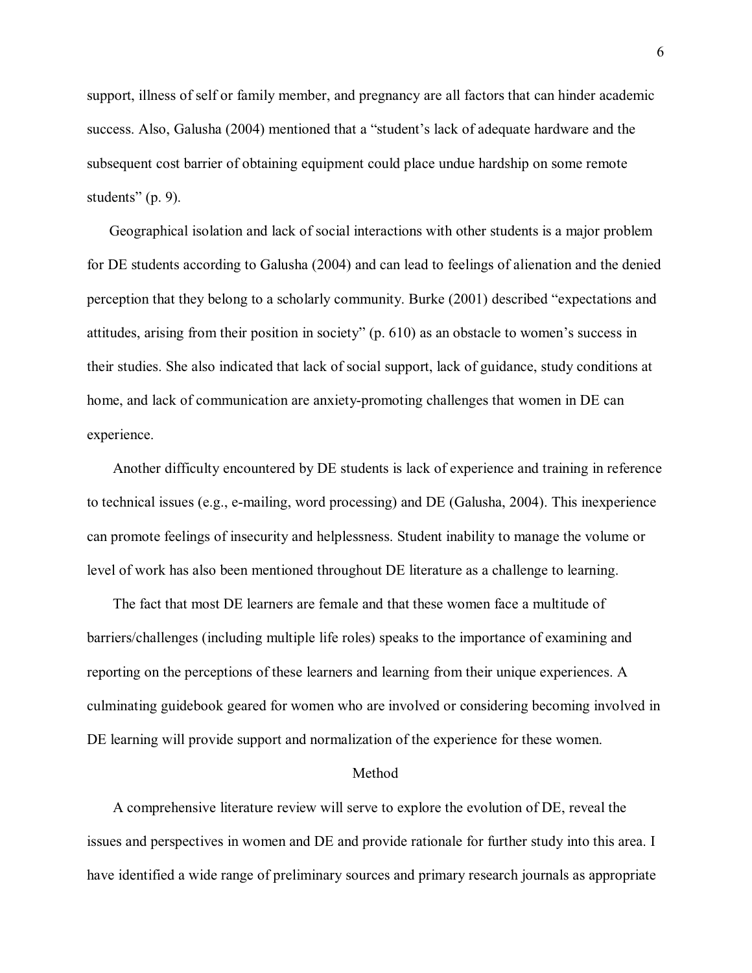support, illness of self or family member, and pregnancy are all factors that can hinder academic success. Also, Galusha (2004) mentioned that a "student's lack of adequate hardware and the subsequent cost barrier of obtaining equipment could place undue hardship on some remote students" (p. 9).

 Geographical isolation and lack of social interactions with other students is a major problem for DE students according to Galusha (2004) and can lead to feelings of alienation and the denied perception that they belong to a scholarly community. Burke (2001) described "expectations and attitudes, arising from their position in society" (p. 610) as an obstacle to women's success in their studies. She also indicated that lack of social support, lack of guidance, study conditions at home, and lack of communication are anxiety-promoting challenges that women in DE can experience.

 Another difficulty encountered by DE students is lack of experience and training in reference to technical issues (e.g., e-mailing, word processing) and DE (Galusha, 2004). This inexperience can promote feelings of insecurity and helplessness. Student inability to manage the volume or level of work has also been mentioned throughout DE literature as a challenge to learning.

 The fact that most DE learners are female and that these women face a multitude of barriers/challenges (including multiple life roles) speaks to the importance of examining and reporting on the perceptions of these learners and learning from their unique experiences. A culminating guidebook geared for women who are involved or considering becoming involved in DE learning will provide support and normalization of the experience for these women.

#### Method

 A comprehensive literature review will serve to explore the evolution of DE, reveal the issues and perspectives in women and DE and provide rationale for further study into this area. I have identified a wide range of preliminary sources and primary research journals as appropriate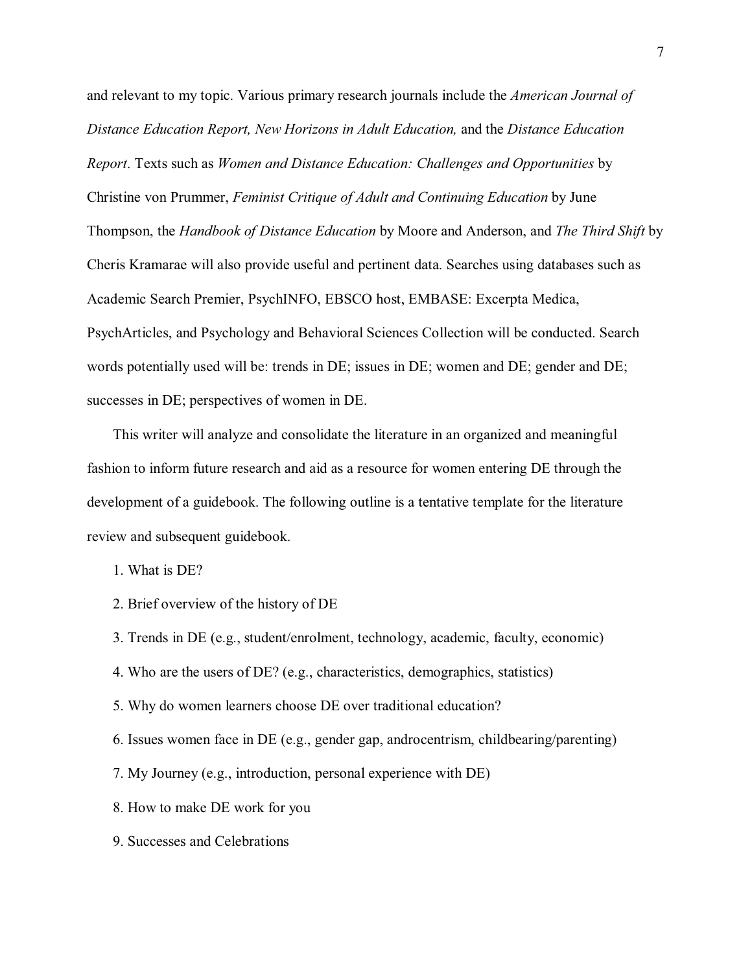and relevant to my topic. Various primary research journals include the *American Journal of Distance Education Report, New Horizons in Adult Education,* and the *Distance Education Report*. Texts such as *Women and Distance Education: Challenges and Opportunities* by Christine von Prummer, *Feminist Critique of Adult and Continuing Education* by June Thompson, the *Handbook of Distance Education* by Moore and Anderson, and *The Third Shift* by Cheris Kramarae will also provide useful and pertinent data. Searches using databases such as Academic Search Premier, PsychINFO, EBSCO host, EMBASE: Excerpta Medica, PsychArticles, and Psychology and Behavioral Sciences Collection will be conducted. Search words potentially used will be: trends in DE; issues in DE; women and DE; gender and DE; successes in DE; perspectives of women in DE.

 This writer will analyze and consolidate the literature in an organized and meaningful fashion to inform future research and aid as a resource for women entering DE through the development of a guidebook. The following outline is a tentative template for the literature review and subsequent guidebook.

1. What is DE?

- 2. Brief overview of the history of DE
- 3. Trends in DE (e.g., student/enrolment, technology, academic, faculty, economic)
- 4. Who are the users of DE? (e.g., characteristics, demographics, statistics)
- 5. Why do women learners choose DE over traditional education?
- 6. Issues women face in DE (e.g., gender gap, androcentrism, childbearing/parenting)
- 7. My Journey (e.g., introduction, personal experience with DE)
- 8. How to make DE work for you
- 9. Successes and Celebrations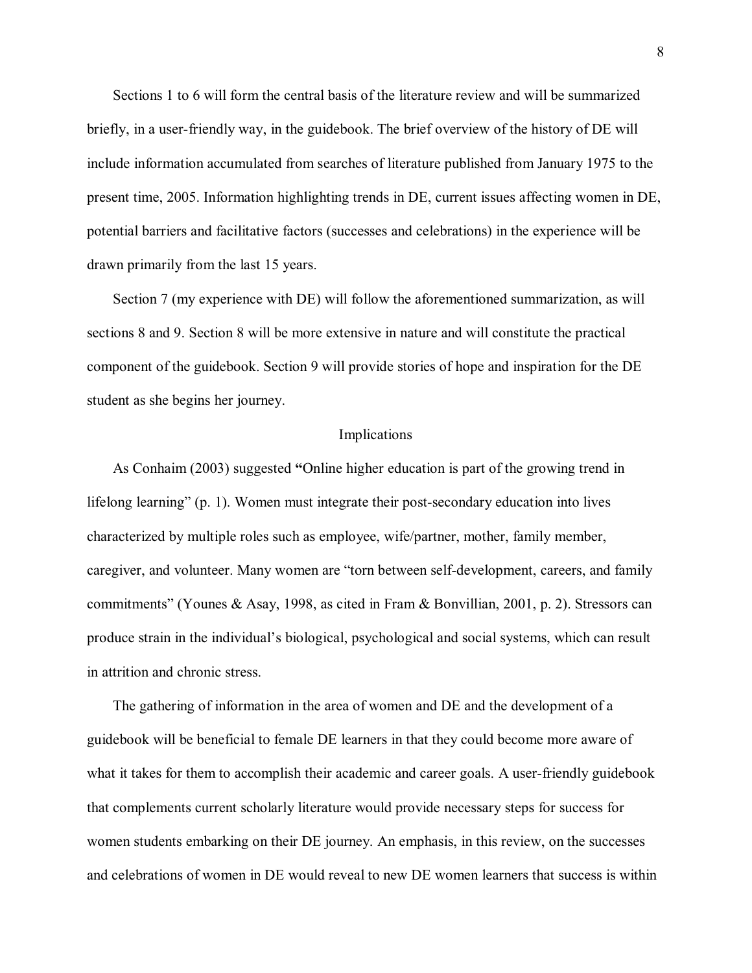Sections 1 to 6 will form the central basis of the literature review and will be summarized briefly, in a user-friendly way, in the guidebook. The brief overview of the history of DE will include information accumulated from searches of literature published from January 1975 to the present time, 2005. Information highlighting trends in DE, current issues affecting women in DE, potential barriers and facilitative factors (successes and celebrations) in the experience will be drawn primarily from the last 15 years.

 Section 7 (my experience with DE) will follow the aforementioned summarization, as will sections 8 and 9. Section 8 will be more extensive in nature and will constitute the practical component of the guidebook. Section 9 will provide stories of hope and inspiration for the DE student as she begins her journey.

#### Implications

 As Conhaim (2003) suggested **"**Online higher education is part of the growing trend in lifelong learning" (p. 1). Women must integrate their post-secondary education into lives characterized by multiple roles such as employee, wife/partner, mother, family member, caregiver, and volunteer. Many women are "torn between self-development, careers, and family commitments" (Younes & Asay, 1998, as cited in Fram & Bonvillian, 2001, p. 2). Stressors can produce strain in the individual's biological, psychological and social systems, which can result in attrition and chronic stress.

 The gathering of information in the area of women and DE and the development of a guidebook will be beneficial to female DE learners in that they could become more aware of what it takes for them to accomplish their academic and career goals. A user-friendly guidebook that complements current scholarly literature would provide necessary steps for success for women students embarking on their DE journey. An emphasis, in this review, on the successes and celebrations of women in DE would reveal to new DE women learners that success is within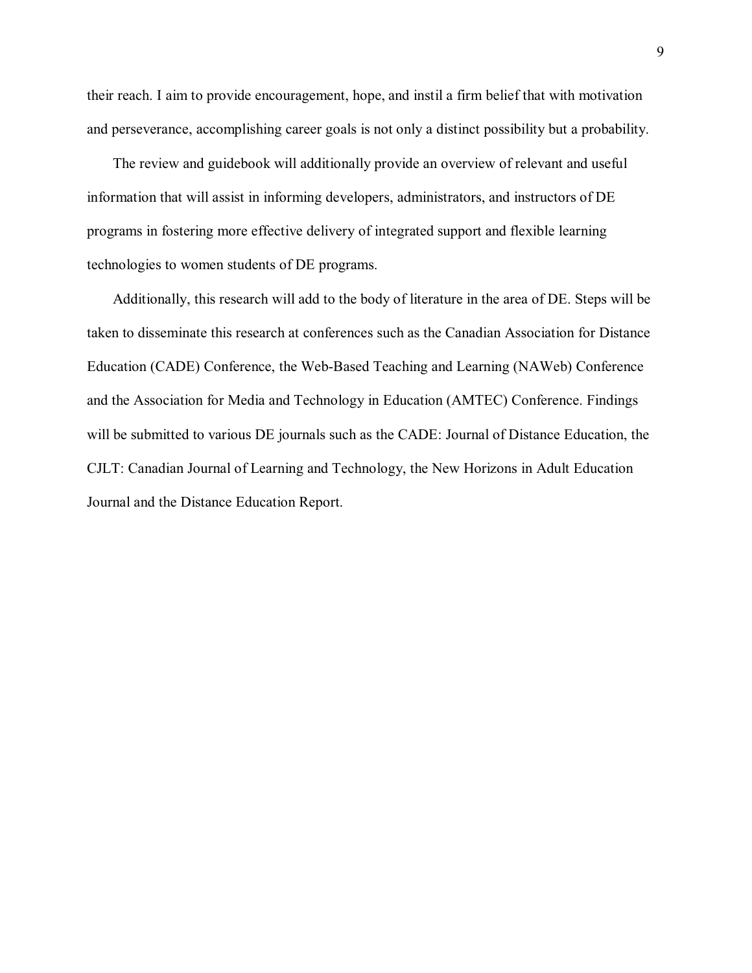their reach. I aim to provide encouragement, hope, and instil a firm belief that with motivation and perseverance, accomplishing career goals is not only a distinct possibility but a probability.

 The review and guidebook will additionally provide an overview of relevant and useful information that will assist in informing developers, administrators, and instructors of DE programs in fostering more effective delivery of integrated support and flexible learning technologies to women students of DE programs.

 Additionally, this research will add to the body of literature in the area of DE. Steps will be taken to disseminate this research at conferences such as the Canadian Association for Distance Education (CADE) Conference, the Web-Based Teaching and Learning (NAWeb) Conference and the Association for Media and Technology in Education (AMTEC) Conference. Findings will be submitted to various DE journals such as the CADE: Journal of Distance Education, the CJLT: Canadian Journal of Learning and Technology, the New Horizons in Adult Education Journal and the Distance Education Report.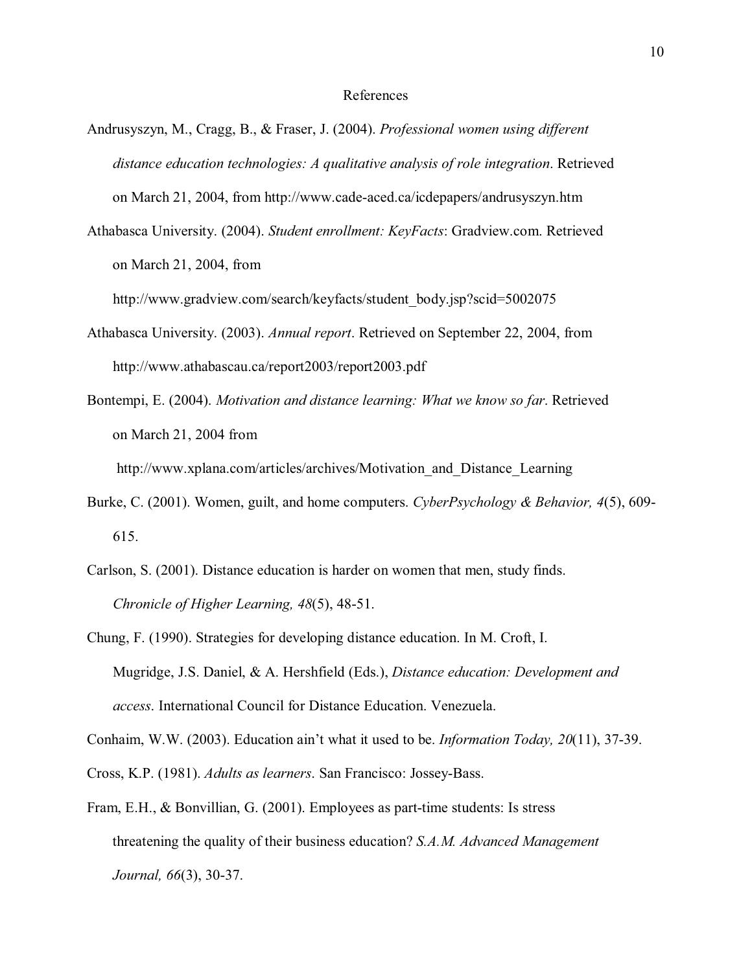- Andrusyszyn, M., Cragg, B., & Fraser, J. (2004). *Professional women using different distance education technologies: A qualitative analysis of role integration*. Retrieved on March 21, 2004, from http://www.cade-aced.ca/icdepapers/andrusyszyn.htm
- Athabasca University. (2004). *Student enrollment: KeyFacts*: Gradview.com. Retrieved on March 21, 2004, from

http://www.gradview.com/search/keyfacts/student\_body.jsp?scid=5002075

- Athabasca University. (2003). *Annual report*. Retrieved on September 22, 2004, from http://www.athabascau.ca/report2003/report2003.pdf
- Bontempi, E. (2004). *Motivation and distance learning: What we know so far*. Retrieved on March 21, 2004 from

http://www.xplana.com/articles/archives/Motivation\_and\_Distance\_Learning

- Burke, C. (2001). Women, guilt, and home computers. *CyberPsychology & Behavior, 4*(5), 609- 615.
- Carlson, S. (2001). Distance education is harder on women that men, study finds. *Chronicle of Higher Learning, 48*(5), 48-51.
- Chung, F. (1990). Strategies for developing distance education. In M. Croft, I. Mugridge, J.S. Daniel, & A. Hershfield (Eds.), *Distance education: Development and access*. International Council for Distance Education. Venezuela.

Conhaim, W.W. (2003). Education ain't what it used to be. *Information Today, 20*(11), 37-39.

- Cross, K.P. (1981). *Adults as learners*. San Francisco: Jossey-Bass.
- Fram, E.H., & Bonvillian, G. (2001). Employees as part-time students: Is stress threatening the quality of their business education? *S.A.M. Advanced Management Journal, 66*(3), 30-37.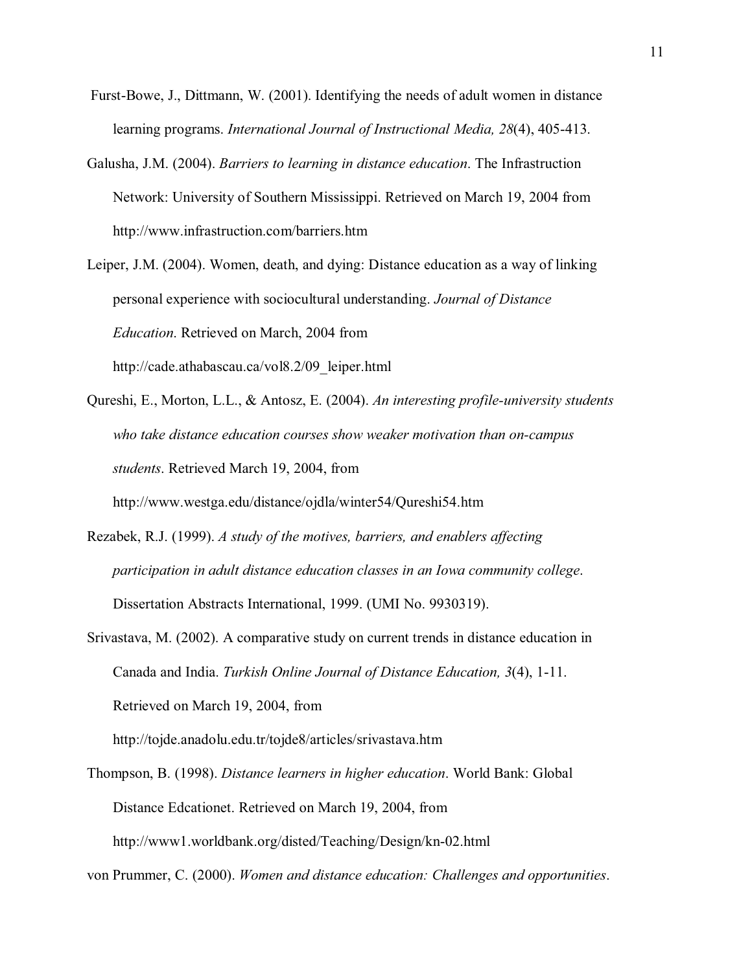- Furst-Bowe, J., Dittmann, W. (2001). Identifying the needs of adult women in distance learning programs. *International Journal of Instructional Media, 28*(4), 405-413.
- Galusha, J.M. (2004). *Barriers to learning in distance education*. The Infrastruction Network: University of Southern Mississippi. Retrieved on March 19, 2004 from http://www.infrastruction.com/barriers.htm
- Leiper, J.M. (2004). Women, death, and dying: Distance education as a way of linking personal experience with sociocultural understanding. *Journal of Distance Education*. Retrieved on March, 2004 from http://cade.athabascau.ca/vol8.2/09\_leiper.html
- Qureshi, E., Morton, L.L., & Antosz, E. (2004). *An interesting profile-university students who take distance education courses show weaker motivation than on-campus students*. Retrieved March 19, 2004, from http://www.westga.edu/distance/ojdla/winter54/Qureshi54.htm
- Rezabek, R.J. (1999). *A study of the motives, barriers, and enablers affecting participation in adult distance education classes in an Iowa community college*. Dissertation Abstracts International, 1999. (UMI No. 9930319).
- Srivastava, M. (2002). A comparative study on current trends in distance education in Canada and India. *Turkish Online Journal of Distance Education, 3*(4), 1-11. Retrieved on March 19, 2004, from

http://tojde.anadolu.edu.tr/tojde8/articles/srivastava.htm

Thompson, B. (1998). *Distance learners in higher education*. World Bank: Global Distance Edcationet. Retrieved on March 19, 2004, from http://www1.worldbank.org/disted/Teaching/Design/kn-02.html

von Prummer, C. (2000). *Women and distance education: Challenges and opportunities*.